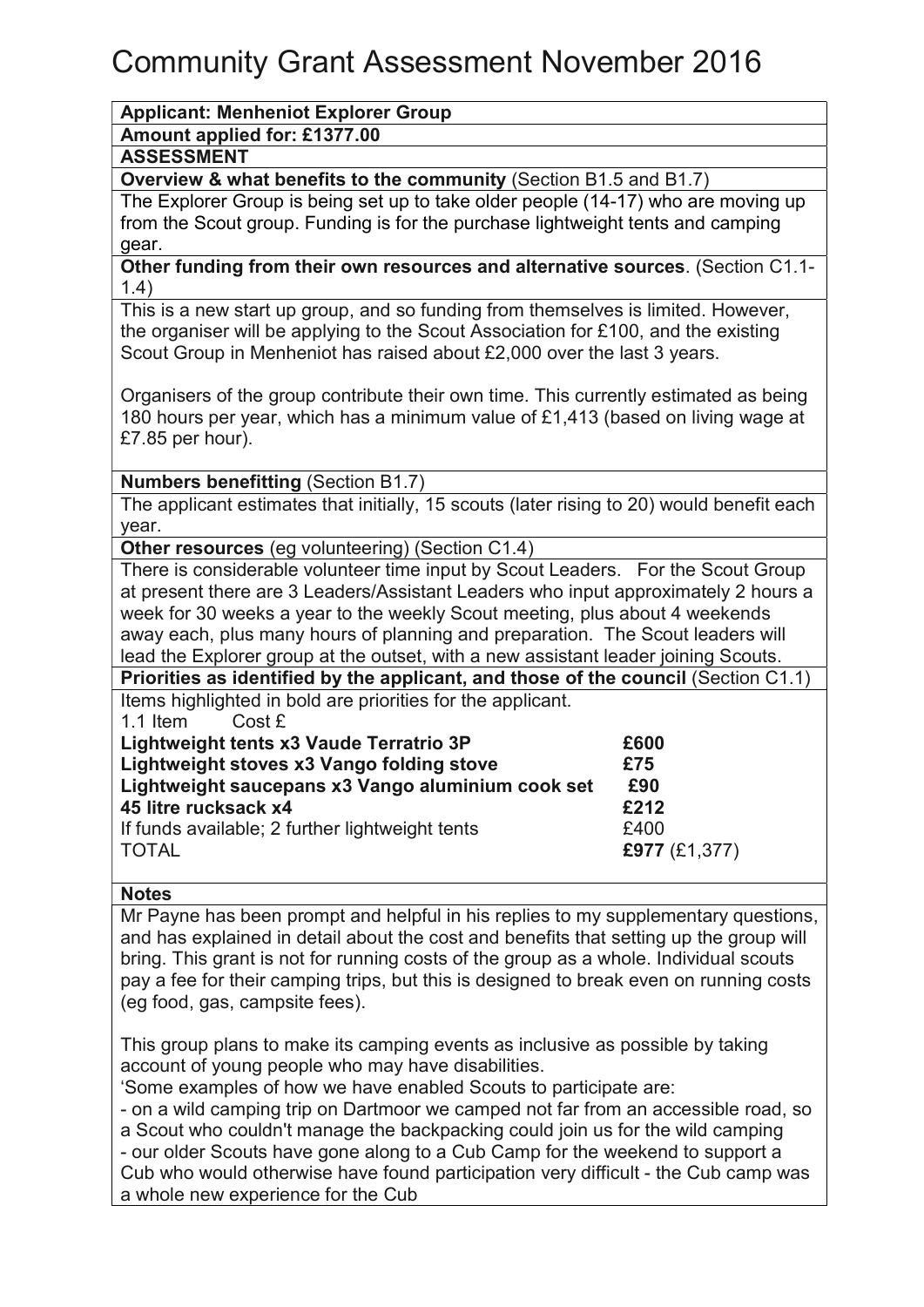# Community Grant Assessment November 2016

# Applicant: Menheniot Explorer Group

# Amount applied for: £1377.00

#### ASSESSMENT

## Overview & what benefits to the community (Section B1.5 and B1.7)

The Explorer Group is being set up to take older people (14-17) who are moving up from the Scout group. Funding is for the purchase lightweight tents and camping gear.

Other funding from their own resources and alternative sources. (Section C1.1- 1.4)

This is a new start up group, and so funding from themselves is limited. However, the organiser will be applying to the Scout Association for £100, and the existing Scout Group in Menheniot has raised about £2,000 over the last 3 years.

Organisers of the group contribute their own time. This currently estimated as being 180 hours per year, which has a minimum value of £1,413 (based on living wage at £7.85 per hour).

#### Numbers benefitting (Section B1.7)

The applicant estimates that initially, 15 scouts (later rising to 20) would benefit each year.

Other resources (eg volunteering) (Section C1.4)

There is considerable volunteer time input by Scout Leaders. For the Scout Group at present there are 3 Leaders/Assistant Leaders who input approximately 2 hours a week for 30 weeks a year to the weekly Scout meeting, plus about 4 weekends away each, plus many hours of planning and preparation. The Scout leaders will lead the Explorer group at the outset, with a new assistant leader joining Scouts.

Priorities as identified by the applicant, and those of the council (Section C1.1) Items highlighted in bold are priorities for the applicant.

1.1 Item Cost £

| Lightweight tents x3 Vaude Terratrio 3P           |                                                 | £600            |  |
|---------------------------------------------------|-------------------------------------------------|-----------------|--|
| Lightweight stoves x3 Vango folding stove         |                                                 | £75             |  |
| Lightweight saucepans x3 Vango aluminium cook set |                                                 | £90             |  |
| 45 litre rucksack x4                              |                                                 | £212            |  |
|                                                   | If funds available; 2 further lightweight tents | £400            |  |
| <b>TOTAL</b>                                      |                                                 | £977 $(E1,377)$ |  |
|                                                   |                                                 |                 |  |

## **Notes**

Mr Payne has been prompt and helpful in his replies to my supplementary questions, and has explained in detail about the cost and benefits that setting up the group will bring. This grant is not for running costs of the group as a whole. Individual scouts pay a fee for their camping trips, but this is designed to break even on running costs (eg food, gas, campsite fees).

This group plans to make its camping events as inclusive as possible by taking account of young people who may have disabilities.

'Some examples of how we have enabled Scouts to participate are:

- on a wild camping trip on Dartmoor we camped not far from an accessible road, so a Scout who couldn't manage the backpacking could join us for the wild camping - our older Scouts have gone along to a Cub Camp for the weekend to support a Cub who would otherwise have found participation very difficult - the Cub camp was a whole new experience for the Cub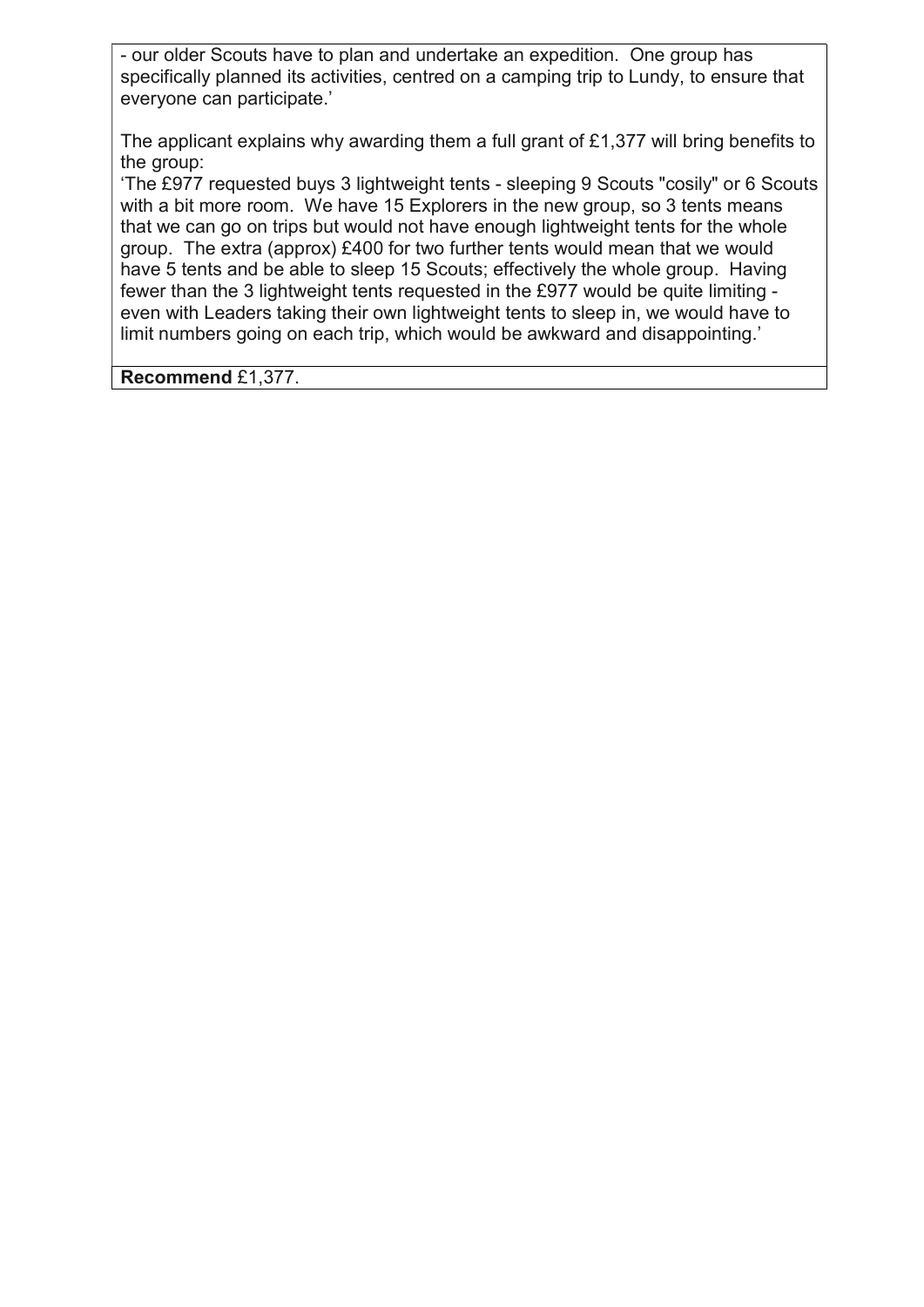- our older Scouts have to plan and undertake an expedition. One group has specifically planned its activities, centred on a camping trip to Lundy, to ensure that everyone can participate.'

The applicant explains why awarding them a full grant of £1,377 will bring benefits to the group:

'The £977 requested buys 3 lightweight tents - sleeping 9 Scouts "cosily" or 6 Scouts with a bit more room. We have 15 Explorers in the new group, so 3 tents means that we can go on trips but would not have enough lightweight tents for the whole group. The extra (approx) £400 for two further tents would mean that we would have 5 tents and be able to sleep 15 Scouts; effectively the whole group. Having fewer than the 3 lightweight tents requested in the £977 would be quite limiting even with Leaders taking their own lightweight tents to sleep in, we would have to limit numbers going on each trip, which would be awkward and disappointing.'

Recommend £1,377.